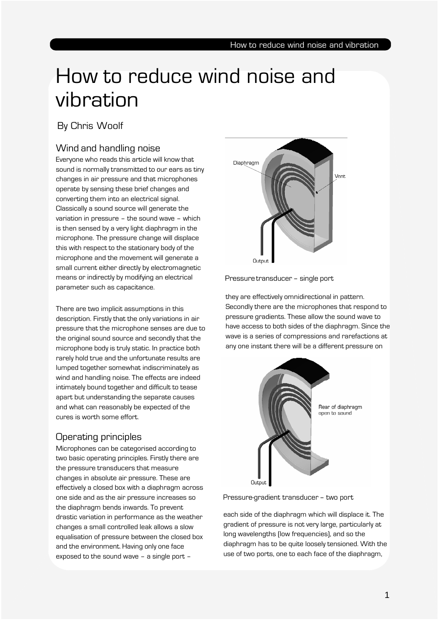# How to reduce wind noise and vibration

### By Chris Woolf

## Wind and handling noise

Everyone who reads this article will know that sound is normally transmitted to our ears as tiny changes in air pressure and that microphones operate by sensing these brief changes and converting them into an electrical signal. Classically a sound source will generate the variation in pressure – the sound wave – which is then sensed by a very light diaphragm in the microphone. The pressure change will displace this with respect to the stationary body of the microphone and the movement will generate a small current either directly by electromagnetic means or indirectly by modifying an electrical parameter such as capacitance.

There are two implicit assumptions in this description. Firstly that the only variations in air pressure that the microphone senses are due to the original sound source and secondly that the microphone body is truly static. In practice both rarely hold true and the unfortunate results are lumped together somewhat indiscriminately as wind and handling noise. The effects are indeed intimately bound together and difficult to tease apart but understanding the separate causes and what can reasonably be expected of the cures is worth some effort.

## Operating principles

Microphones can be categorised according to two basic operating principles. Firstly there are the pressure transducers that measure changes in absolute air pressure. These are effectively a closed box with a diaphragm across one side and as the air pressure increases so the diaphragm bends inwards. To prevent drastic variation in performance as the weather changes a small controlled leak allows a slow equalisation of pressure between the closed box and the environment. Having only one face exposed to the sound wave – a single port –



Pressure transducer – single port

they are effectively omnidirectional in pattern. Secondly there are the microphones that respond to pressure gradients. These allow the sound wave to have access to both sides of the diaphragm. Since the wave is a series of compressions and rarefactions at any one instant there will be a different pressure on



Pressure-gradient transducer – two port

each side of the diaphragm which will displace it. The gradient of pressure is not very large, particularly at long wavelengths (low frequencies), and so the diaphragm has to be quite loosely tensioned. With the use of two ports, one to each face of the diaphragm,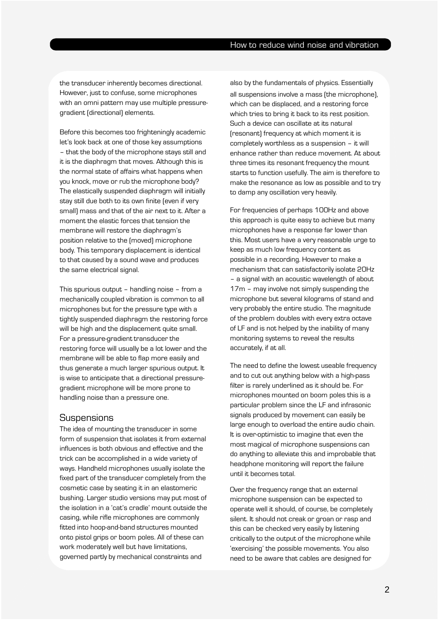the transducer inherently becomes directional. However, just to confuse, some microphones with an omni pattern may use multiple pressuregradient (directional) elements.

Before this becomes too frighteningly academic let's look back at one of those key assumptions – that the body of the microphone stays still and it is the diaphragm that moves. Although this is the normal state of affairs what happens when you knock, move or rub the microphone body? The elastically suspended diaphragm will initially stay still due both to its own finite (even if very small) mass and that of the air next to it. After a moment the elastic forces that tension the membrane will restore the diaphragm's position relative to the (moved) microphone body. This temporary displacement is identical to that caused by a sound wave and produces the same electrical signal.

This spurious output – handling noise – from a mechanically coupled vibration is common to all microphones but for the pressure type with a tightly suspended diaphragm the restoring force will be high and the displacement quite small. For a pressure-gradient transducer the restoring force will usually be a lot lower and the membrane will be able to flap more easily and thus generate a much larger spurious output. It is wise to anticipate that a directional pressuregradient microphone will be more prone to handling noise than a pressure one.

#### **Suspensions**

The idea of mounting the transducer in some form of suspension that isolates it from external influences is both obvious and effective and the trick can be accomplished in a wide variety of ways. Handheld microphones usually isolate the fixed part of the transducer completely from the cosmetic case by seating it in an elastomeric bushing. Larger studio versions may put most of the isolation in a 'cat's cradle' mount outside the casing, while rifle microphones are commonly fitted into hoop-and-band structures mounted onto pistol grips or boom poles. All of these can work moderately well but have limitations, governed partly by mechanical constraints and

also by the fundamentals of physics. Essentially all suspensions involve a mass (the microphone), which can be displaced, and a restoring force which tries to bring it back to its rest position. Such a device can oscillate at its natural (resonant) frequency at which moment it is completely worthless as a suspension – it will enhance rather than reduce movement. At about three times its resonant frequency the mount starts to function usefully. The aim is therefore to make the resonance as low as possible and to try to damp any oscillation very heavily.

For frequencies of perhaps 100Hz and above this approach is quite easy to achieve but many microphones have a response far lower than this. Most users have a very reasonable urge to keep as much low frequency content as possible in a recording. However to make a mechanism that can satisfactorily isolate 20Hz – a signal with an acoustic wavelength of about 17m – may involve not simply suspending the microphone but several kilograms of stand and very probably the entire studio. The magnitude of the problem doubles with every extra octave of LF and is not helped by the inability of many monitoring systems to reveal the results accurately, if at all.

The need to define the lowest useable frequency and to cut out anything below with a high-pass filter is rarely underlined as it should be. For microphones mounted on boom poles this is a particular problem since the LF and infrasonic signals produced by movement can easily be large enough to overload the entire audio chain. It is over-optimistic to imagine that even the most magical of microphone suspensions can do anything to alleviate this and improbable that headphone monitoring will report the failure until it becomes total.

Over the frequency range that an external microphone suspension can be expected to operate well it should, of course, be completely silent. It should not creak or groan or rasp and this can be checked very easily by listening critically to the output of the microphone while 'exercising' the possible movements. You also need to be aware that cables are designed for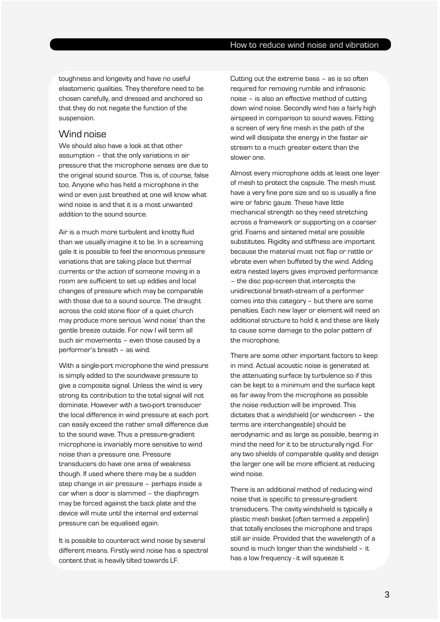toughness and longevity and have no useful elastomeric qualities. They therefore need to be chosen carefully, and dressed and anchored so that they do not negate the function of the suspension.

#### Wind noise

We should also have a look at that other assumption – that the only variations in air pressure that the microphone senses are due to the original sound source. This is, of course, false too. Anyone who has held a microphone in the wind or even just breathed at one will know what wind noise is and that it is a most unwanted addition to the sound source.

Air is a much more turbulent and knotty fluid than we usually imagine it to be. In a screaming gale it is possible to feel the enormous pressure variations that are taking place but thermal currents or the action of someone moving in a room are sufficient to set up eddies and local changes of pressure which may be comparable with those due to a sound source. The draught across the cold stone floor of a quiet church may produce more serious 'wind noise' than the gentle breeze outside. For now I will term all such air movements – even those caused by a performer's breath – as wind.

With a single-port microphone the wind pressure is simply added to the soundwave pressure to give a composite signal. Unless the wind is very strong its contribution to the total signal will not dominate. However with a two-port transducer the local difference in wind pressure at each port can easily exceed the rather small difference due to the sound wave. Thus a pressure-gradient microphone is invariably more sensitive to wind noise than a pressure one. Pressure transducers do have one area of weakness though. If used where there may be a sudden step change in air pressure – perhaps inside a car when a door is slammed – the diaphragm may be forced against the back plate and the device will mute until the internal and external pressure can be equalised again.

It is possible to counteract wind noise by several different means. Firstly wind noise has a spectral content that is heavily tilted towards LF.

Cutting out the extreme bass – as is so often required for removing rumble and infrasonic noise – is also an effective method of cutting down wind noise. Secondly wind has a fairly high airspeed in comparison to sound waves. Fitting a screen of very fine mesh in the path of the wind will dissipate the energy in the faster air stream to a much greater extent than the slower one.

Almost every microphone adds at least one layer of mesh to protect the capsule. The mesh must have a very fine pore size and so is usually a fine wire or fabric gauze. These have little mechanical strength so they need stretching across a framework or supporting on a coarser grid. Foams and sintered metal are possible substitutes. Rigidity and stiffness are important because the material must not flap or rattle or vibrate even when buffeted by the wind. Adding extra nested layers gives improved performance – the disc pop-screen that intercepts the unidirectional breath-stream of a performer comes into this category – but there are some penalties. Each new layer or element will need an additional structure to hold it and these are likely to cause some damage to the polar pattern of the microphone.

There are some other important factors to keep in mind. Actual acoustic noise is generated at the attenuating surface by turbulence so if this can be kept to a minimum and the surface kept as far away from the microphone as possible the noise reduction will be improved. This dictates that a windshield (or windscreen – the terms are interchangeable) should be aerodynamic and as large as possible, bearing in mind the need for it to be structurally rigid. For any two shields of comparable quality and design the larger one will be more efficient at reducing wind noise.

There is an additional method of reducing wind noise that is specific to pressure-gradient transducers. The cavity windshield is typically a plastic mesh basket (often termed a zeppelin) that totally encloses the microphone and traps still air inside. Provided that the wavelength of a sound is much longer than the windshield – it has a low frequency - it will squeeze it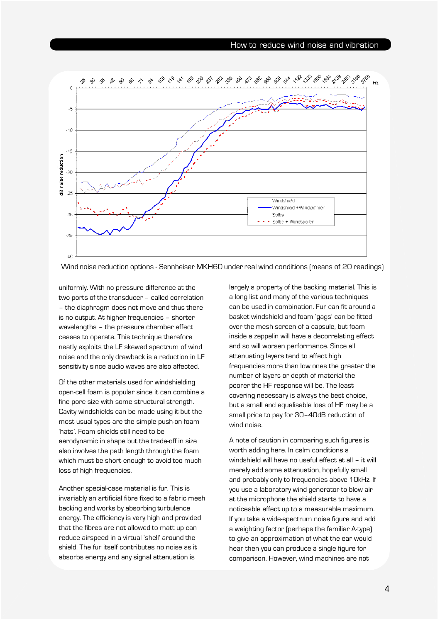

Wind noise reduction options - Sennheiser MKH60 under real wind conditions (means of 20 readings)

uniformly. With no pressure difference at the two ports of the transducer – called correlation – the diaphragm does not move and thus there is no output. At higher frequencies – shorter wavelengths – the pressure chamber effect ceases to operate. This technique therefore neatly exploits the LF skewed spectrum of wind noise and the only drawback is a reduction in LF sensitivity since audio waves are also affected.

Of the other materials used for windshielding open-cell foam is popular since it can combine a fine pore size with some structural strength. Cavity windshields can be made using it but the most usual types are the simple push-on foam 'hats'. Foam shields still need to be aerodynamic in shape but the trade-off in size also involves the path length through the foam which must be short enough to avoid too much loss of high frequencies.

Another special-case material is fur. This is invariably an artificial fibre fixed to a fabric mesh backing and works by absorbing turbulence energy. The efficiency is very high and provided that the fibres are not allowed to matt up can reduce airspeed in a virtual 'shell' around the shield. The fur itself contributes no noise as it absorbs energy and any signal attenuation is

largely a property of the backing material. This is a long list and many of the various techniques can be used in combination. Fur can fit around a basket windshield and foam 'gags' can be fitted over the mesh screen of a capsule, but foam inside a zeppelin will have a decorrelating effect and so will worsen performance. Since all attenuating layers tend to affect high frequencies more than low ones the greater the number of layers or depth of material the poorer the HF response will be. The least covering necessary is always the best choice, but a small and equalisable loss of HF may be a small price to pay for 30–40dB reduction of wind noise.

A note of caution in comparing such figures is worth adding here. In calm conditions a windshield will have no useful effect at all – it will merely add some attenuation, hopefully small and probably only to frequencies above 10kHz. If you use a laboratory wind generator to blow air at the microphone the shield starts to have a noticeable effect up to a measurable maximum. If you take a wide-spectrum noise figure and add a weighting factor (perhaps the familiar A-type) to give an approximation of what the ear would hear then you can produce a single figure for comparison. However, wind machines are not